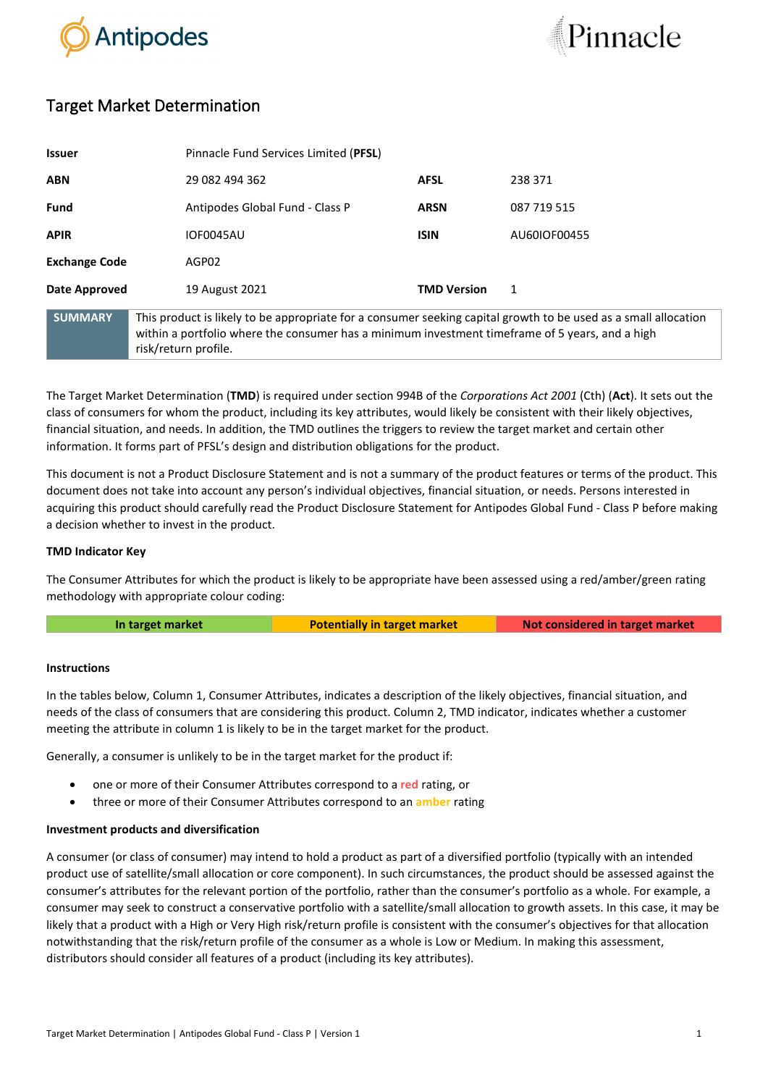



# Target Market Determination

| <b>Issuer</b>        |                                                                                                                                                                                                                                            | Pinnacle Fund Services Limited (PFSL) |              |  |
|----------------------|--------------------------------------------------------------------------------------------------------------------------------------------------------------------------------------------------------------------------------------------|---------------------------------------|--------------|--|
| <b>ABN</b>           | 29 082 494 362                                                                                                                                                                                                                             | <b>AFSL</b>                           | 238 371      |  |
| Fund                 | Antipodes Global Fund - Class P                                                                                                                                                                                                            | <b>ARSN</b>                           | 087 719 515  |  |
| <b>APIR</b>          | <b>IOF0045AU</b>                                                                                                                                                                                                                           | <b>ISIN</b>                           | AU60IOF00455 |  |
| <b>Exchange Code</b> | AGP02                                                                                                                                                                                                                                      |                                       |              |  |
| Date Approved        | 19 August 2021                                                                                                                                                                                                                             | <b>TMD Version</b>                    | 1            |  |
| <b>SUMMARY</b>       | This product is likely to be appropriate for a consumer seeking capital growth to be used as a small allocation<br>within a portfolio where the consumer has a minimum investment timeframe of 5 years, and a high<br>risk/return profile. |                                       |              |  |

The Target Market Determination (**TMD**) is required under section 994B of the *Corporations Act 2001* (Cth) (**Act**). It sets out the class of consumers for whom the product, including its key attributes, would likely be consistent with their likely objectives, financial situation, and needs. In addition, the TMD outlines the triggers to review the target market and certain other information. It forms part of PFSL's design and distribution obligations for the product.

This document is not a Product Disclosure Statement and is not a summary of the product features or terms of the product. This document does not take into account any person's individual objectives, financial situation, or needs. Persons interested in acquiring this product should carefully read the Product Disclosure Statement for Antipodes Global Fund - Class P before making a decision whether to invest in the product.

## **TMD Indicator Key**

The Consumer Attributes for which the product is likely to be appropriate have been assessed using a red/amber/green rating methodology with appropriate colour coding:

**In target market <b>Potentially in target market Not considered in target market** 

### **Instructions**

In the tables below, Column 1, Consumer Attributes, indicates a description of the likely objectives, financial situation, and needs of the class of consumers that are considering this product. Column 2, TMD indicator, indicates whether a customer meeting the attribute in column 1 is likely to be in the target market for the product.

Generally, a consumer is unlikely to be in the target market for the product if:

- one or more of their Consumer Attributes correspond to a **red** rating, or
- three or more of their Consumer Attributes correspond to an **amber** rating

## **Investment products and diversification**

A consumer (or class of consumer) may intend to hold a product as part of a diversified portfolio (typically with an intended product use of satellite/small allocation or core component). In such circumstances, the product should be assessed against the consumer's attributes for the relevant portion of the portfolio, rather than the consumer's portfolio as a whole. For example, a consumer may seek to construct a conservative portfolio with a satellite/small allocation to growth assets. In this case, it may be likely that a product with a High or Very High risk/return profile is consistent with the consumer's objectives for that allocation notwithstanding that the risk/return profile of the consumer as a whole is Low or Medium. In making this assessment, distributors should consider all features of a product (including its key attributes).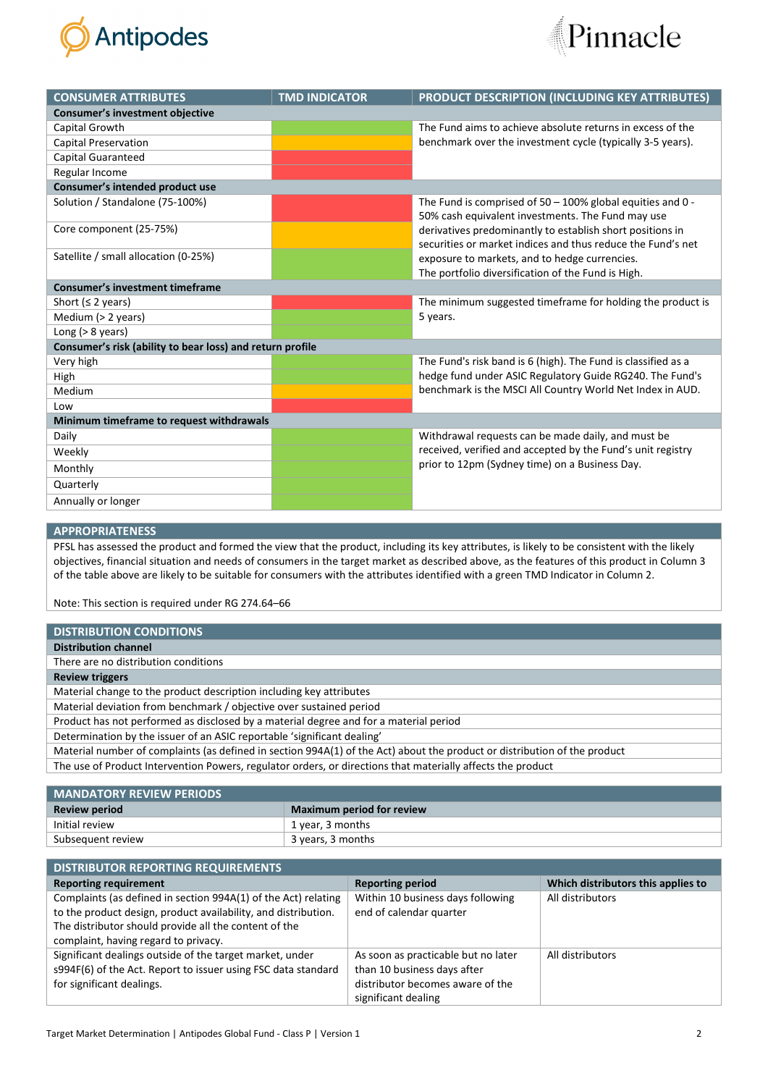



| <b>CONSUMER ATTRIBUTES</b>                                | <b>TMD INDICATOR</b> | <b>PRODUCT DESCRIPTION (INCLUDING KEY ATTRIBUTES)</b>         |  |  |  |
|-----------------------------------------------------------|----------------------|---------------------------------------------------------------|--|--|--|
| <b>Consumer's investment objective</b>                    |                      |                                                               |  |  |  |
| Capital Growth                                            |                      | The Fund aims to achieve absolute returns in excess of the    |  |  |  |
| <b>Capital Preservation</b>                               |                      | benchmark over the investment cycle (typically 3-5 years).    |  |  |  |
| Capital Guaranteed                                        |                      |                                                               |  |  |  |
| Regular Income                                            |                      |                                                               |  |  |  |
| Consumer's intended product use                           |                      |                                                               |  |  |  |
| Solution / Standalone (75-100%)                           |                      | The Fund is comprised of $50 - 100\%$ global equities and 0 - |  |  |  |
|                                                           |                      | 50% cash equivalent investments. The Fund may use             |  |  |  |
| Core component (25-75%)                                   |                      | derivatives predominantly to establish short positions in     |  |  |  |
|                                                           |                      | securities or market indices and thus reduce the Fund's net   |  |  |  |
| Satellite / small allocation (0-25%)                      |                      | exposure to markets, and to hedge currencies.                 |  |  |  |
|                                                           |                      | The portfolio diversification of the Fund is High.            |  |  |  |
| <b>Consumer's investment timeframe</b>                    |                      |                                                               |  |  |  |
| Short ( $\leq$ 2 years)                                   |                      | The minimum suggested timeframe for holding the product is    |  |  |  |
| Medium (> 2 years)                                        |                      | 5 years.                                                      |  |  |  |
| Long $(> 8$ years)                                        |                      |                                                               |  |  |  |
| Consumer's risk (ability to bear loss) and return profile |                      |                                                               |  |  |  |
| Very high                                                 |                      | The Fund's risk band is 6 (high). The Fund is classified as a |  |  |  |
| High                                                      |                      | hedge fund under ASIC Regulatory Guide RG240. The Fund's      |  |  |  |
| Medium                                                    |                      | benchmark is the MSCI All Country World Net Index in AUD.     |  |  |  |
| Low                                                       |                      |                                                               |  |  |  |
| Minimum timeframe to request withdrawals                  |                      |                                                               |  |  |  |
| Daily                                                     |                      | Withdrawal requests can be made daily, and must be            |  |  |  |
| Weekly                                                    |                      | received, verified and accepted by the Fund's unit registry   |  |  |  |
| Monthly                                                   |                      | prior to 12pm (Sydney time) on a Business Day.                |  |  |  |
| Quarterly                                                 |                      |                                                               |  |  |  |
| Annually or longer                                        |                      |                                                               |  |  |  |

#### **APPROPRIATENESS**

PFSL has assessed the product and formed the view that the product, including its key attributes, is likely to be consistent with the likely objectives, financial situation and needs of consumers in the target market as described above, as the features of this product in Column 3 of the table above are likely to be suitable for consumers with the attributes identified with a green TMD Indicator in Column 2.

Note: This section is required under RG 274.64–66

| <b>DISTRIBUTION CONDITIONS</b>                                                                                            |
|---------------------------------------------------------------------------------------------------------------------------|
| <b>Distribution channel</b>                                                                                               |
| There are no distribution conditions                                                                                      |
| <b>Review triggers</b>                                                                                                    |
| Material change to the product description including key attributes                                                       |
| Material deviation from benchmark / objective over sustained period                                                       |
| Product has not performed as disclosed by a material degree and for a material period                                     |
| Determination by the issuer of an ASIC reportable 'significant dealing'                                                   |
| Material number of complaints (as defined in section 994A(1) of the Act) about the product or distribution of the product |
| The use of Product Intervention Powers, regulator orders, or directions that materially affects the product               |

| <b>MANDATORY REVIEW PERIODS</b> |                                  |  |
|---------------------------------|----------------------------------|--|
| <b>Review period</b>            | <b>Maximum period for review</b> |  |
| Initial review                  | 1 year, 3 months                 |  |
| Subsequent review               | 3 years, 3 months                |  |

| <b>DISTRIBUTOR REPORTING REQUIREMENTS</b>                      |                                     |                                    |
|----------------------------------------------------------------|-------------------------------------|------------------------------------|
| <b>Reporting requirement</b>                                   | <b>Reporting period</b>             | Which distributors this applies to |
| Complaints (as defined in section 994A(1) of the Act) relating | Within 10 business days following   | All distributors                   |
| to the product design, product availability, and distribution. | end of calendar quarter             |                                    |
| The distributor should provide all the content of the          |                                     |                                    |
| complaint, having regard to privacy.                           |                                     |                                    |
| Significant dealings outside of the target market, under       | As soon as practicable but no later | All distributors                   |
| s994F(6) of the Act. Report to issuer using FSC data standard  | than 10 business days after         |                                    |
| for significant dealings.                                      | distributor becomes aware of the    |                                    |
|                                                                | significant dealing                 |                                    |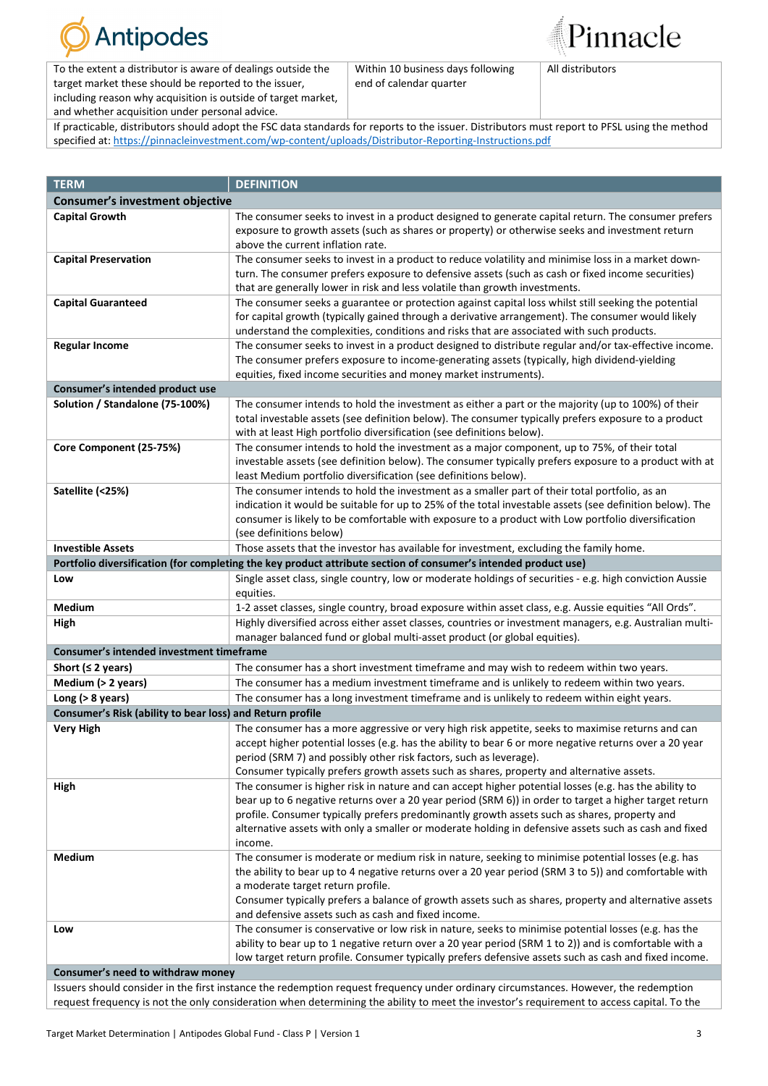

To the extent a distributor is aware of dealings outside the target market these should be reported to the issuer, including reason why acquisition is outside of target market, and whether acquisition under personal advice.

Within 10 business days following end of calendar quarter

All distributors

Pinnacle

If practicable, distributors should adopt the FSC data standards for reports to the issuer. Distributors must report to PFSL using the method specified at: [https://pinnacleinvestment.com/wp-content/uploads/Distributor-Reporting-Instructions.pdf](https://aus01.safelinks.protection.outlook.com/?url=https%3A%2F%2Fpinnacleinvestment.com%2Fwp-content%2Fuploads%2FDistributor-Reporting-Instructions.pdf&data=04%7C01%7CRobbie.Zhong%40pinnacleinvestment.com%7Cb4c1b788df954b03f26408d9675577fa%7C35cf8e31ecbc469399faa3d4d4dbd0de%7C0%7C0%7C637654439063852174%7CUnknown%7CTWFpbGZsb3d8eyJWIjoiMC4wLjAwMDAiLCJQIjoiV2luMzIiLCJBTiI6Ik1haWwiLCJXVCI6Mn0%3D%7C1000&sdata=z3%2BDpshdl6t4wDnSgUIdZS0YIuaCk9GXg1FCwIAbEV4%3D&reserved=0)

| <b>TERM</b>                                                                                                                               | <b>DEFINITION</b>                                                                                                                                                            |  |  |  |
|-------------------------------------------------------------------------------------------------------------------------------------------|------------------------------------------------------------------------------------------------------------------------------------------------------------------------------|--|--|--|
| <b>Consumer's investment objective</b>                                                                                                    |                                                                                                                                                                              |  |  |  |
| <b>Capital Growth</b>                                                                                                                     | The consumer seeks to invest in a product designed to generate capital return. The consumer prefers                                                                          |  |  |  |
|                                                                                                                                           | exposure to growth assets (such as shares or property) or otherwise seeks and investment return                                                                              |  |  |  |
|                                                                                                                                           | above the current inflation rate.                                                                                                                                            |  |  |  |
| <b>Capital Preservation</b>                                                                                                               | The consumer seeks to invest in a product to reduce volatility and minimise loss in a market down-                                                                           |  |  |  |
|                                                                                                                                           | turn. The consumer prefers exposure to defensive assets (such as cash or fixed income securities)                                                                            |  |  |  |
|                                                                                                                                           | that are generally lower in risk and less volatile than growth investments.                                                                                                  |  |  |  |
| <b>Capital Guaranteed</b>                                                                                                                 | The consumer seeks a guarantee or protection against capital loss whilst still seeking the potential                                                                         |  |  |  |
|                                                                                                                                           | for capital growth (typically gained through a derivative arrangement). The consumer would likely                                                                            |  |  |  |
|                                                                                                                                           | understand the complexities, conditions and risks that are associated with such products.                                                                                    |  |  |  |
| <b>Regular Income</b>                                                                                                                     | The consumer seeks to invest in a product designed to distribute regular and/or tax-effective income.                                                                        |  |  |  |
|                                                                                                                                           | The consumer prefers exposure to income-generating assets (typically, high dividend-yielding                                                                                 |  |  |  |
|                                                                                                                                           | equities, fixed income securities and money market instruments).                                                                                                             |  |  |  |
| Consumer's intended product use                                                                                                           |                                                                                                                                                                              |  |  |  |
| Solution / Standalone (75-100%)                                                                                                           | The consumer intends to hold the investment as either a part or the majority (up to 100%) of their                                                                           |  |  |  |
|                                                                                                                                           | total investable assets (see definition below). The consumer typically prefers exposure to a product                                                                         |  |  |  |
|                                                                                                                                           | with at least High portfolio diversification (see definitions below).                                                                                                        |  |  |  |
| Core Component (25-75%)                                                                                                                   | The consumer intends to hold the investment as a major component, up to 75%, of their total                                                                                  |  |  |  |
|                                                                                                                                           | investable assets (see definition below). The consumer typically prefers exposure to a product with at                                                                       |  |  |  |
|                                                                                                                                           | least Medium portfolio diversification (see definitions below).                                                                                                              |  |  |  |
| Satellite (<25%)                                                                                                                          | The consumer intends to hold the investment as a smaller part of their total portfolio, as an                                                                                |  |  |  |
|                                                                                                                                           | indication it would be suitable for up to 25% of the total investable assets (see definition below). The                                                                     |  |  |  |
|                                                                                                                                           | consumer is likely to be comfortable with exposure to a product with Low portfolio diversification                                                                           |  |  |  |
|                                                                                                                                           | (see definitions below)                                                                                                                                                      |  |  |  |
| <b>Investible Assets</b>                                                                                                                  | Those assets that the investor has available for investment, excluding the family home.                                                                                      |  |  |  |
|                                                                                                                                           | Portfolio diversification (for completing the key product attribute section of consumer's intended product use)                                                              |  |  |  |
| Low                                                                                                                                       | Single asset class, single country, low or moderate holdings of securities - e.g. high conviction Aussie                                                                     |  |  |  |
|                                                                                                                                           | equities.                                                                                                                                                                    |  |  |  |
| Medium                                                                                                                                    | 1-2 asset classes, single country, broad exposure within asset class, e.g. Aussie equities "All Ords".                                                                       |  |  |  |
| High                                                                                                                                      | Highly diversified across either asset classes, countries or investment managers, e.g. Australian multi-                                                                     |  |  |  |
| Consumer's intended investment timeframe                                                                                                  | manager balanced fund or global multi-asset product (or global equities).                                                                                                    |  |  |  |
|                                                                                                                                           |                                                                                                                                                                              |  |  |  |
| Short ( $\leq$ 2 years)                                                                                                                   | The consumer has a short investment timeframe and may wish to redeem within two years.                                                                                       |  |  |  |
| Medium (> 2 years)                                                                                                                        | The consumer has a medium investment timeframe and is unlikely to redeem within two years.                                                                                   |  |  |  |
| Long $(> 8$ years)                                                                                                                        | The consumer has a long investment timeframe and is unlikely to redeem within eight years.                                                                                   |  |  |  |
| Consumer's Risk (ability to bear loss) and Return profile                                                                                 |                                                                                                                                                                              |  |  |  |
| <b>Very High</b>                                                                                                                          | The consumer has a more aggressive or very high risk appetite, seeks to maximise returns and can                                                                             |  |  |  |
|                                                                                                                                           | accept higher potential losses (e.g. has the ability to bear 6 or more negative returns over a 20 year<br>period (SRM 7) and possibly other risk factors, such as leverage). |  |  |  |
|                                                                                                                                           | Consumer typically prefers growth assets such as shares, property and alternative assets.                                                                                    |  |  |  |
| High                                                                                                                                      | The consumer is higher risk in nature and can accept higher potential losses (e.g. has the ability to                                                                        |  |  |  |
|                                                                                                                                           | bear up to 6 negative returns over a 20 year period (SRM 6)) in order to target a higher target return                                                                       |  |  |  |
|                                                                                                                                           | profile. Consumer typically prefers predominantly growth assets such as shares, property and                                                                                 |  |  |  |
|                                                                                                                                           | alternative assets with only a smaller or moderate holding in defensive assets such as cash and fixed                                                                        |  |  |  |
|                                                                                                                                           | income.                                                                                                                                                                      |  |  |  |
| Medium                                                                                                                                    | The consumer is moderate or medium risk in nature, seeking to minimise potential losses (e.g. has                                                                            |  |  |  |
|                                                                                                                                           | the ability to bear up to 4 negative returns over a 20 year period (SRM 3 to 5)) and comfortable with                                                                        |  |  |  |
|                                                                                                                                           | a moderate target return profile.                                                                                                                                            |  |  |  |
|                                                                                                                                           | Consumer typically prefers a balance of growth assets such as shares, property and alternative assets                                                                        |  |  |  |
|                                                                                                                                           | and defensive assets such as cash and fixed income.                                                                                                                          |  |  |  |
| Low                                                                                                                                       | The consumer is conservative or low risk in nature, seeks to minimise potential losses (e.g. has the                                                                         |  |  |  |
|                                                                                                                                           | ability to bear up to 1 negative return over a 20 year period (SRM 1 to 2)) and is comfortable with a                                                                        |  |  |  |
|                                                                                                                                           | low target return profile. Consumer typically prefers defensive assets such as cash and fixed income.                                                                        |  |  |  |
| Consumer's need to withdraw money                                                                                                         |                                                                                                                                                                              |  |  |  |
|                                                                                                                                           | Issuers should consider in the first instance the redemption request frequency under ordinary circumstances. However, the redemption                                         |  |  |  |
| request frequency is not the only consideration when determining the ability to meet the investor's requirement to access capital. To the |                                                                                                                                                                              |  |  |  |